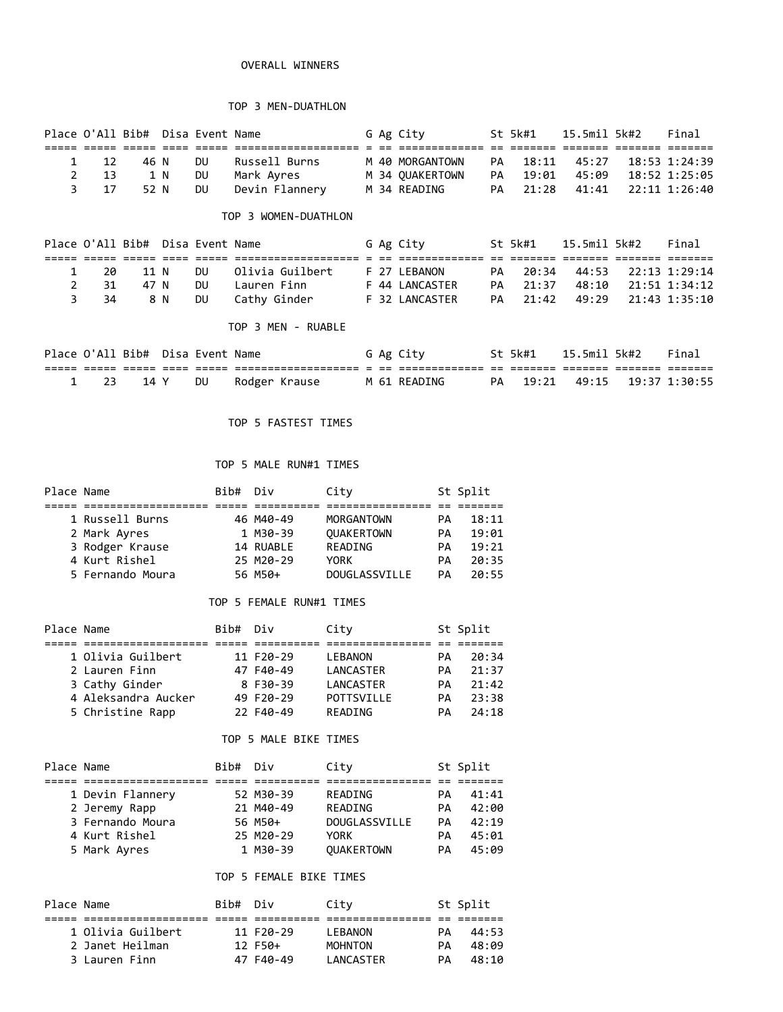## OVERALL WINNERS

# TOP 3 MEN-DUATHLON

| Place O'All Bib# Disa Event Name |      |      |     |    |                |  | G Ag City       |    |          |                     | Final |
|----------------------------------|------|------|-----|----|----------------|--|-----------------|----|----------|---------------------|-------|
|                                  |      |      |     |    |                |  |                 |    |          |                     |       |
|                                  | 1 12 | 46 N |     | DU | Russell Burns  |  | M 40 MORGANTOWN | PA | 18:11    | 45:27 18:53 1:24:39 |       |
|                                  | 2 13 |      | 1 N | DU | Mark Avres     |  | M 34 OUAKERTOWN | PA | 19:01    | 45:09 18:52 1:25:05 |       |
|                                  | 3 17 | 52 N |     | DU | Devin Flannery |  | M 34 READING    |    | PA 21:28 | 41:41 22:11 1:26:40 |       |
|                                  |      |      |     |    |                |  |                 |    |          |                     |       |

## TOP 3 WOMEN-DUATHLON

| Place O'All Bib# Disa Event Name |      |     |           |                 |  | G Ag City      |    | St 5k#1  | 15.5mil 5k#2 |                           | Final |
|----------------------------------|------|-----|-----------|-----------------|--|----------------|----|----------|--------------|---------------------------|-------|
|                                  |      |     |           |                 |  |                |    |          |              |                           |       |
| 20                               | 11 N |     | DU.       | Olivia Guilbert |  | F 27 LEBANON   |    | PA 20:34 |              | 44:53 22:13 1:29:14       |       |
| 2 31                             | 47 N |     | DU.       | Lauren Finn     |  | F 44 LANCASTER |    | PA 21:37 |              | 48:10 21:51 1:34:12       |       |
| 34                               |      | 8 N | <b>DU</b> | Cathy Ginder    |  | F 32 LANCASTER | PA |          |              | 21:42 49:29 21:43 1:35:10 |       |

# TOP 3 MEN - RUABLE

|  |      | Place O'All Bib# Disa Event Name |               |  | G Ag City    |    | St 5k#1 | 15.5mil 5k#2 | Final |
|--|------|----------------------------------|---------------|--|--------------|----|---------|--------------|-------|
|  |      |                                  |               |  |              |    |         |              |       |
|  | 14 Y | DU                               | Rodger Krause |  | M 61 READING | PA | 19:21   |              |       |

# TOP 5 FASTEST TIMES

# TOP 5 MALE RUN#1 TIMES

| Place Name |                  | Bib# Div |           | City              |    | St Split |
|------------|------------------|----------|-----------|-------------------|----|----------|
|            |                  |          |           |                   |    |          |
|            | 1 Russell Burns  |          | 46 M40-49 | MORGANTOWN        | PА | 18:11    |
|            | 2 Mark Ayres     |          | 1 M30-39  | <b>OUAKERTOWN</b> | PA | 19:01    |
|            | 3 Rodger Krause  |          | 14 RUABLE | READING           | PА | 19:21    |
|            | 4 Kurt Rishel    |          | 25 M20-29 | YORK              | PА | 20:35    |
|            | 5 Fernando Moura |          | 56 M50+   | DOUGLASSVILLE     | PА | 20:55    |

# TOP 5 FEMALE RUN#1 TIMES

| Place Name |                     | Bib# Div |           | City           |    | St Split |
|------------|---------------------|----------|-----------|----------------|----|----------|
|            |                     |          |           |                |    |          |
|            | 1 Olivia Guilbert   |          | 11 F20-29 | <b>LEBANON</b> | PА | 20:34    |
|            | 2 Lauren Finn       |          | 47 F40-49 | LANCASTER      | PА | 21:37    |
|            | 3 Cathy Ginder      |          | 8 F30-39  | LANCASTER      | PА | 21:42    |
|            | 4 Aleksandra Aucker |          | 49 F20-29 | POTTSVILLE     | PА | 23:38    |
|            | 5 Christine Rapp    |          | 22 F40-49 | READING        | PА | 24:18    |
|            |                     |          |           |                |    |          |

# TOP 5 MALE BIKE TIMES

| Place Name |                  | Bib# Div |           | City              |    | St Split |
|------------|------------------|----------|-----------|-------------------|----|----------|
|            |                  |          |           |                   |    |          |
|            | 1 Devin Flannery |          | 52 M30-39 | READING           | PА | 41:41    |
|            | 2 Jeremy Rapp    |          | 21 M40-49 | READING           | PА | 42:00    |
|            | 3 Fernando Moura |          | 56 M50+   | DOUGLASSVILLE     | PА | 42:19    |
|            | 4 Kurt Rishel    |          | 25 M20-29 | <b>YORK</b>       | PА | 45:01    |
|            | 5 Mark Ayres     |          | 1 M30-39  | <b>OUAKERTOWN</b> | PA | 45:09    |
|            |                  |          |           |                   |    |          |

# TOP 5 FEMALE BIKE TIMES

| Place Name |                   | Bib# Div |           | City           |    | St Split |
|------------|-------------------|----------|-----------|----------------|----|----------|
|            |                   |          |           |                |    |          |
|            | 1 Olivia Guilbert |          | 11 F20-29 | I FRANON       | PА | 44:53    |
|            | 2 Janet Heilman   |          | $12F50+$  | <b>MOHNTON</b> | PА | 48:09    |
|            | 3 Lauren Finn     |          | 47 F40-49 | LANCASTER      | PА | 48:10    |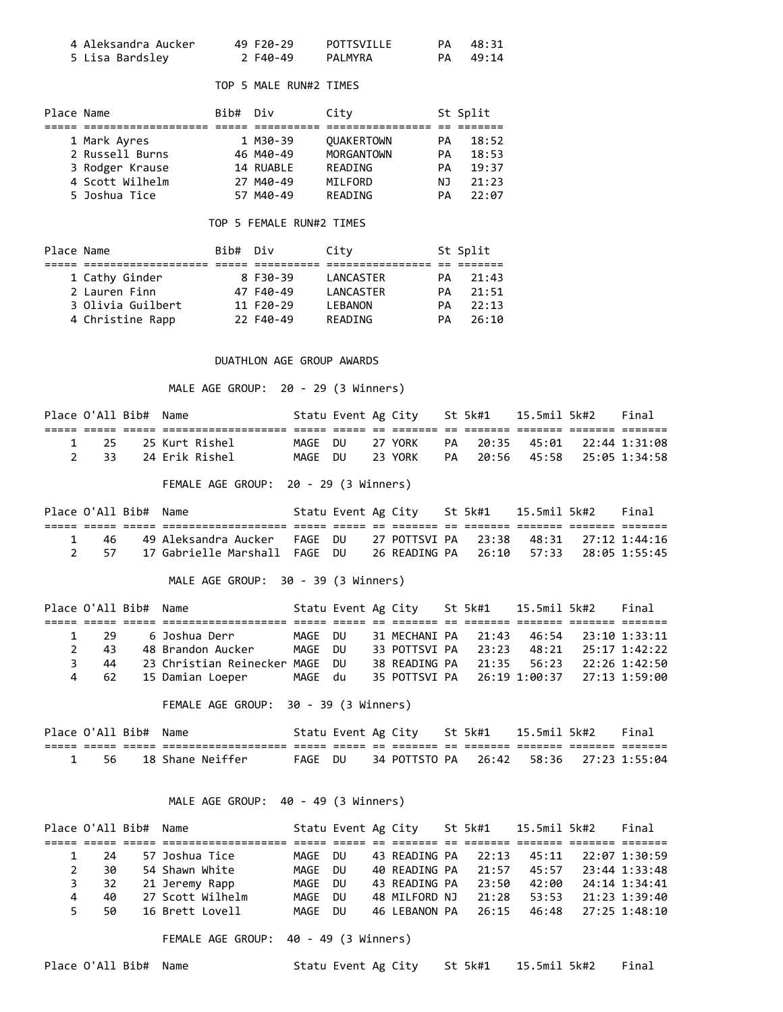| 4 Aleksandra Aucker | 49 F20-29 | POTTSVILLE | PA 48:31 |
|---------------------|-----------|------------|----------|
| 5 Lisa Bardsley     | 2 F40-49  | PALMYRA    | PA 49:14 |

# TOP 5 MALE RUN#2 TIMES

| Place Name |                 | Bib# Div |           | City              |    | St Split |
|------------|-----------------|----------|-----------|-------------------|----|----------|
|            |                 |          |           |                   |    |          |
|            | 1 Mark Ayres    |          | 1 M30-39  | <b>OUAKERTOWN</b> | PА | 18:52    |
|            | 2 Russell Burns |          | 46 M40-49 | <b>MORGANTOWN</b> | PА | 18:53    |
|            | 3 Rodger Krause |          | 14 RUABLE | READING           | PА | 19:37    |
|            | 4 Scott Wilhelm |          | 27 M40-49 | MILFORD           | NJ | 21:23    |
|            | 5 Joshua Tice   |          | 57 M40-49 | READING           | PА | 22:07    |

#### TOP 5 FEMALE RUN#2 TIMES

| Place Name |                   | Bib# Div |           | City           |    | St Split |
|------------|-------------------|----------|-----------|----------------|----|----------|
|            |                   |          |           |                |    |          |
|            | 1 Cathy Ginder    |          | 8 F30-39  | LANCASTER      | PА | 21:43    |
|            | 2 Lauren Finn     |          | 47 F40-49 | LANCASTER      | PА | 21:51    |
|            | 3 Olivia Guilbert |          | 11 F20-29 | <b>LEBANON</b> | PА | 22:13    |
|            | 4 Christine Rapp  |          | 22 F40-49 | READING        | PА | 26:10    |

# DUATHLON AGE GROUP AWARDS

MALE AGE GROUP: 20 - 29 (3 Winners)

| Place O'All Bib# Name |                                             |         |  |         | Statu Event Ag City St 5k#1 15.5mil 5k#2 Final |  |  |
|-----------------------|---------------------------------------------|---------|--|---------|------------------------------------------------|--|--|
|                       | toos socco occasocaseconocase cooco coco co |         |  |         |                                                |  |  |
|                       | 1 25 25 Kurt Rishel                         |         |  |         | MAGE DU 27 YORK PA 20:35 45:01 22:44 1:31:08   |  |  |
|                       | 2 33 24 Erik Rishel                         | MAGE DU |  | 23 YORK | PA 20:56 45:58 25:05 1:34:58                   |  |  |

FEMALE AGE GROUP: 20 - 29 (3 Winners)

| Place O'All Bib# Name |                                                                                |  |  |  | Statu Event Ag City 5t 5k#1 15.5mil 5k#2 | Final |
|-----------------------|--------------------------------------------------------------------------------|--|--|--|------------------------------------------|-------|
|                       |                                                                                |  |  |  |                                          |       |
| 1 46                  | 49 Aleksandra Aucker - FAGE DU - 27 POTTSVI PA - 23:38 - 48:31 - 27:12 1:44:16 |  |  |  |                                          |       |
|                       | 2 57 17 Gabrielle Marshall FAGE DU                                             |  |  |  |                                          |       |

MALE AGE GROUP: 30 - 39 (3 Winners)

|     | Place O'All Bib# Name |                                |         |  |  | Statu Event Ag City St 5k#1 15.5mil 5k#2 |  | Final |
|-----|-----------------------|--------------------------------|---------|--|--|------------------------------------------|--|-------|
|     |                       |                                |         |  |  |                                          |  |       |
|     | 1 29                  | 6 Joshua Derr                  | MAGE DU |  |  |                                          |  |       |
|     | $2^{\circ}$<br>-43    | 48 Brandon Aucker              | MAGE DU |  |  | 33 POTTSVI PA 23:23 48:21 25:17 1:42:22  |  |       |
| २ । | 44                    | 23 Christian Reinecker MAGE DU |         |  |  |                                          |  |       |
|     | -62                   | 15 Damian Loeper               | MAGE du |  |  |                                          |  |       |

FEMALE AGE GROUP: 30 - 39 (3 Winners)

| Place O'All Bib# Name |                       |  | Statu Event Ag City St 5k#1 15.5mil 5k#2 Final  |  |  |  |
|-----------------------|-----------------------|--|-------------------------------------------------|--|--|--|
|                       | -------------------   |  |                                                 |  |  |  |
|                       | 1 56 18 Shane Neiffer |  | FAGE DU 34 POTTSTO PA 26:42 58:36 27:23 1:55:04 |  |  |  |

# MALE AGE GROUP: 40 - 49 (3 Winners)

|               | Place O'All Bib# Name |                  | Statu Event Ag City |     |               | St 5k#1 | 15.5mil 5k#2 |                     | Final         |
|---------------|-----------------------|------------------|---------------------|-----|---------------|---------|--------------|---------------------|---------------|
|               |                       |                  |                     |     |               |         |              |                     |               |
|               | 24                    | 57 Joshua Tice   | MAGE                | DU. | 43 READING PA | 22:13   | 45:11        |                     | 22:07 1:30:59 |
| $\mathcal{L}$ | 30                    | 54 Shawn White   | MAGE                | DU  | 40 READING PA | 21:57   | 45:57        |                     | 23:44 1:33:48 |
| 3             | 32                    | 21 Jeremy Rapp   | MAGE                | DU  | 43 READING PA | 23:50   | 42:00        |                     | 24:14 1:34:41 |
| 4             | 40                    | 27 Scott Wilhelm | MAGE                | DU. | 48 MILFORD NJ |         | 21:28 53:53  |                     | 21:23 1:39:40 |
| 5.            | 50.                   | 16 Brett Lovell  | MAGF                | DU  | 46 LEBANON PA | 26:15   |              | 46:48 27:25 1:48:10 |               |

FEMALE AGE GROUP: 40 - 49 (3 Winners)

Place O'All Bib# Name Statu Event Ag City St 5k#1 15.5mil 5k#2 Final